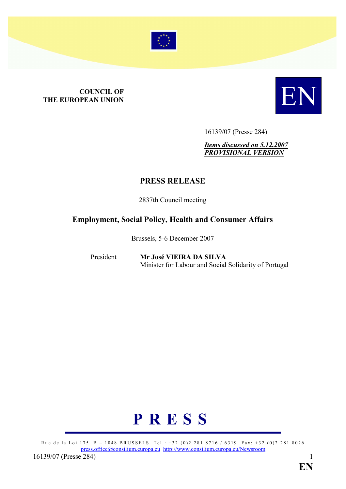

# **COUNCIL OF<br>THE EUROPEAN UNION**



16139/07 (Presse 284)

*Items discussed on 5.12.2007 PROVISIOAL VERSIO*

# **PRESS RELEASE**

2837th Council meeting

# **Employment, Social Policy, Health and Consumer Affairs**

Brussels, 5-6 December 2007

President **Mr José VIEIRA DA SILVA** Minister for Labour and Social Solidarity of Portugal

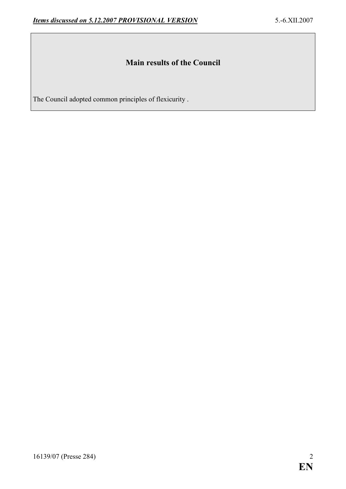# **Main results of the Council**

The Council adopted common principles of flexicurity .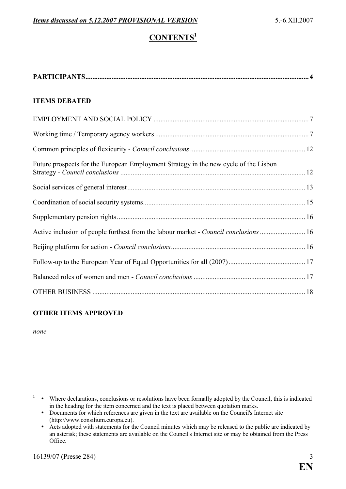# $$

| <b>ITEMS DEBATED</b>                                                                 |  |
|--------------------------------------------------------------------------------------|--|
|                                                                                      |  |
|                                                                                      |  |
|                                                                                      |  |
| Future prospects for the European Employment Strategy in the new cycle of the Lisbon |  |
|                                                                                      |  |
|                                                                                      |  |
|                                                                                      |  |
| Active inclusion of people furthest from the labour market - Council conclusions 16  |  |
|                                                                                      |  |
|                                                                                      |  |
|                                                                                      |  |
|                                                                                      |  |

# **OTHER ITEMS APPROVED**

*none* 

<sup>1</sup> • Where declarations, conclusions or resolutions have been formally adopted by the Council, this is indicated in the heading for the item concerned and the text is placed between quotation marks.

- Documents for which references are given in the text are available on the Council's Internet site (http://www.consilium.europa.eu).
- Acts adopted with statements for the Council minutes which may be released to the public are indicated by an asterisk; these statements are available on the Council's Internet site or may be obtained from the Press Office.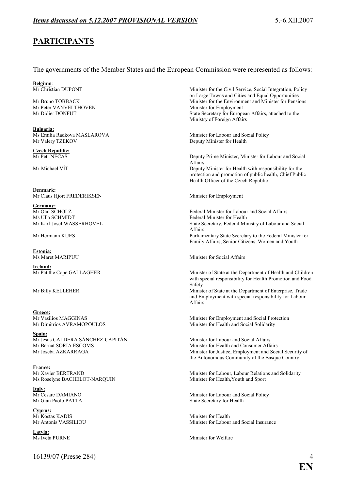# **PARTICIPATS**

#### The governments of the Member States and the European Commission were represented as follows:

**Belgium**:

Mr Peter VANVELTHOVEN

**Bulgaria:**

**Czech Republic:**<br>Mr Petr NEČAS

**Denmark:** Mr Claus Hiort FREDERIKSEN Minister for Employment

Germany:<br>Mr Olaf SCHOLZ Ms Ulla SCHMIDT Federal Minister for Health

**Estonia:**

**Ireland:**<br>Mr Pat the Cope GALLAGHER

**Greece:**<br>Mr Vasilios MAGGINAS

**Spain:** Mr Jesús CALDERA SÁNCHEZ-CAPITÁN Minister for Labour and Social Affairs<br>Mr Bernat SORIA ESCOMS Minister for Health and Consumer Affa

**France:**<br>Mr Xavier BERTRAND Ms Roselyne BACHELOT-NARQUIN

**Italy:**<br>Mr Cesare DAMIANO

**Cyprus:**<br>Mr Kostas KADIS Mr Kostas KADIS Minister for Health

**Latvia:**

16139/07 (Presse 284) 4

Mr Christian DUPONT Minister for the Civil Service, Social Integration, Policy on Large Towns and Cities and Equal Opportunities Mr Bruno TOBBACK Minister for the Environment and Minister for Pensions<br>Mr Peter VANVELTHOVEN Minister for Employment Mr Didier DONFUT State Secretary for European Affairs, attached to the Ministry of Foreign Affairs

Ms Emilia Radkova MASLAROVA<br>
Minister for Labour and Social Policy<br>
Minister for Health<br>
Deputy Minister for Health Deputy Minister for Health

Deputy Prime Minister, Minister for Labour and Social **Affairs** Mr Michael VÍT **Deputy Minister for Health with responsibility for the** protection and promotion of public health, Chief Public Health Officer of the Czech Republic

Federal Minister for Labour and Social Affairs Mr Karl-Josef WASSERHÖVEL State Secretary, Federal Ministry of Labour and Social Affairs Mr Hermann KUES Parliamentary State Secretary to the Federal Minister for Family Affairs, Senior Citizens, Women and Youth

Minister for Social Affairs

Affairs

Minister of State at the Department of Health and Children with special responsibility for Health Promotion and Food Safety Mr Billy KELLEHER Minister of State at the Department of Enterprise, Trade and Employment with special responsibility for Labour

Minister for Employment and Social Protection Mr Dimitrios AVRAMOPOULOS Minister for Health and Social Solidarity

Minister for Health and Consumer Affairs Mr Joseba AZKARRAGA Minister for Justice, Employment and Social Security of the Autonomous Community of the Basque Country

Minister for Labour, Labour Relations and Solidarity<br>Minister for Health, Youth and Sport

Minister for Labour and Social Policy Mr Gian Paolo PATTA State Secretary for Health

Minister for Labour and Social Insurance

Minister for Welfare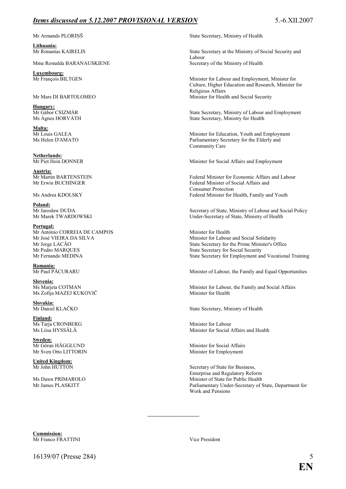## *Items discussed on 5.12.2007 PROVISIONAL VERSION* 5.6.XII.2007

**Lithuania:**

Mme Romalda BARANAUSKIENE Secretary of the Ministry of Health

**Luxembourg:**<br>Mr Francois BILTGEN

**Hungary:**<br>Mr Gábor CSIZMÁR

**Malta:**

**Netherlands:**<br>Mr Piet Hein DONNER

**Austria:**

**Poland:**

**Portugal:** Mr António CORREIA DE CAMPOS Minister for Health<br>Mr José VIEIRA DA SILVA Minister for Labour

**Romania:**

**Slovenia:** Ms Zofija MAZEJ KUKOVIČ Minister for Health

**Slovakia:**

**Finland:** Ms Tarja CRONBERG Minister for Labour<br>
Ms Liisa HYSSÄLÄ Minister for Social

**Sweden:**<br>Mr Göran HÄGGLUND Mr Sven Otto LITTORIN Minister for Employment

**United Kingdom:**

Mr Armands PLORINŠ State Secretary, Ministry of Health

State Secretary at the Ministry of Social Security and Labour

Minister for Labour and Employment, Minister for Culture, Higher Education and Research, Minister for Religious Affairs Mr Mars DI BARTOLOMEO Minister for Health and Social Security

Mr Gábor CSIZMÁR State Secretary, Ministry of Labour and Employment<br>Ms Ágnes HORVÁTH State Secretary, Ministry for Health State Secretary, Ministry for Health

Minister for Education, Youth and Employment Ms Helen D'AMATO Parliamentary Secretary for the Elderly and Community Care

Minister for Social Affairs and Employment

Mr Martin BARTENSTEIN<br>
Mr Erwin BUCHINGER<br>
Federal Minister of Social Affairs and Labour<br>
Federal Minister of Social Affairs and Federal Minister of Social Affairs and Consumer Protection Ms Andrea KDOLSKY Federal Minister for Health, Family and Youth

Mr Jarosław DUDA<br>
Mr Marek TWARDOWSKI<br>
Mr Marek TWARDOWSKI<br>
Secretary of State, Ministry of Health Under-Secretary of State, Ministry of Health

Minister for Labour and Social Solidarity Mr Jorge LACÃO State Secretary for the Prime Minister's Office<br>Mr Pedro MAROUES State Secretary for Social Security State Secretary for Social Security Mr Fernando MEDINA State Secretary for Employment and Vocational Training

Minister of Labour, the Family and Equal Opportunities

Minister for Labour, the Family and Social Affairs

State Secretary, Ministry of Health

Minister for Social Affairs and Health

Minister for Social Affairs

Secretary of State for Business. Enterprise and Regulatory Reform Ms Dawn PRIMAROLO<br>
Minister of State for Public Health<br>
Mr James PLASKITT Parliamentary Under-Secretary of State, Department for Work and Pensions

**Commission:** Mr Franco FRATTINI Vice President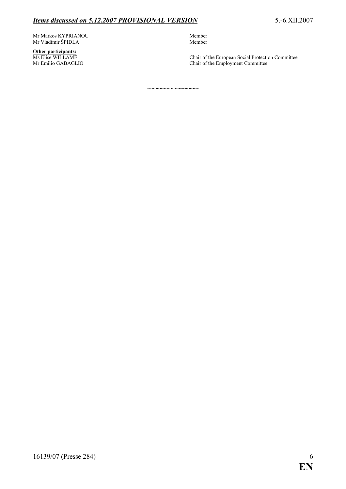### *Items discussed on 5.12.2007 PROVISIONAL VERSION* 5.-6.XII.2007

Mr Markos KYPRIANOU 1999 - 1999 Member 1999 Member 1999 Member 1999 Member 1999 Member 1999 Member 1999 Member 1999 Member 1999 Member 1999 Member 1999 Member 1999 Member 1999 Member 1999 Member 1999 Member 1999 Member 199 Mr Vladimir ŠPIDLA

**Other participants:**<br>Ms Elise WILLAME

Ms Elise WILLAME Chair of the European Social Protection Committee<br>Mr Emilio GABAGLIO Chair of the Employment Committee Chair of the Employment Committee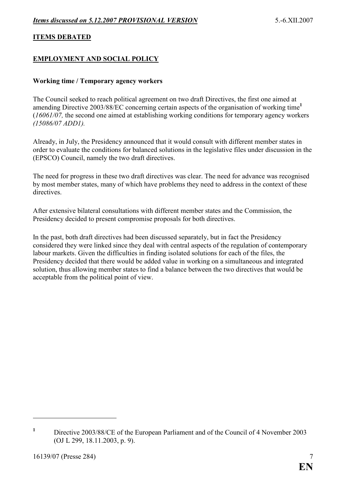#### **ITEMS DEBATED**

#### **EMPLOYMENT AND SOCIAL POLICY**

#### **Working time / Temporary agency workers**

The Council seeked to reach political agreement on two draft Directives, the first one aimed at amending Directive 2003/88/EC concerning certain aspects of the organisation of working time**<sup>1</sup>** (*16061/07,* the second one aimed at establishing working conditions for temporary agency workers *(15086/07 ADD1).*

Already, in July, the Presidency announced that it would consult with different member states in order to evaluate the conditions for balanced solutions in the legislative files under discussion in the (EPSCO) Council, namely the two draft directives.

The need for progress in these two draft directives was clear. The need for advance was recognised by most member states, many of which have problems they need to address in the context of these directives.

After extensive bilateral consultations with different member states and the Commission, the Presidency decided to present compromise proposals for both directives.

In the past, both draft directives had been discussed separately, but in fact the Presidency considered they were linked since they deal with central aspects of the regulation of contemporary labour markets. Given the difficulties in finding isolated solutions for each of the files, the Presidency decided that there would be added value in working on a simultaneous and integrated solution, thus allowing member states to find a balance between the two directives that would be acceptable from the political point of view.

**<sup>1</sup>** Directive 2003/88/CE of the European Parliament and of the Council of 4 November 2003 (OJ L 299, 18.11.2003, p. 9).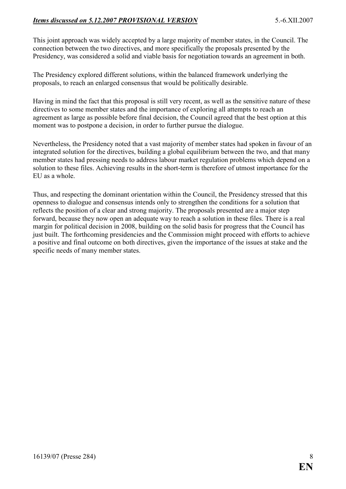# *Items discussed on 5.12.2007 PROVISIONAL VERSION* 5.-6.XII.2007

This joint approach was widely accepted by a large majority of member states, in the Council. The connection between the two directives, and more specifically the proposals presented by the Presidency, was considered a solid and viable basis for negotiation towards an agreement in both.

The Presidency explored different solutions, within the balanced framework underlying the proposals, to reach an enlarged consensus that would be politically desirable.

Having in mind the fact that this proposal is still very recent, as well as the sensitive nature of these directives to some member states and the importance of exploring all attempts to reach an agreement as large as possible before final decision, the Council agreed that the best option at this moment was to postpone a decision, in order to further pursue the dialogue.

Nevertheless, the Presidency noted that a vast majority of member states had spoken in favour of an integrated solution for the directives, building a global equilibrium between the two, and that many member states had pressing needs to address labour market regulation problems which depend on a solution to these files. Achieving results in the short-term is therefore of utmost importance for the EU as a whole.

Thus, and respecting the dominant orientation within the Council, the Presidency stressed that this openness to dialogue and consensus intends only to strengthen the conditions for a solution that reflects the position of a clear and strong majority. The proposals presented are a major step forward, because they now open an adequate way to reach a solution in these files. There is a real margin for political decision in 2008, building on the solid basis for progress that the Council has just built. The forthcoming presidencies and the Commission might proceed with efforts to achieve a positive and final outcome on both directives, given the importance of the issues at stake and the specific needs of many member states.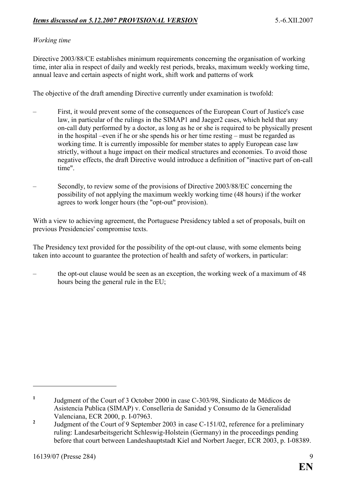# *Working time*

Directive 2003/88/CE establishes minimum requirements concerning the organisation of working time, inter alia in respect of daily and weekly rest periods, breaks, maximum weekly working time, annual leave and certain aspects of night work, shift work and patterns of work

The objective of the draft amending Directive currently under examination is twofold:

- First, it would prevent some of the consequences of the European Court of Justice's case law, in particular of the rulings in the SIMAP1 and Jaeger2 cases, which held that any on-call duty performed by a doctor, as long as he or she is required to be physically present in the hospital –even if he or she spends his or her time resting – must be regarded as working time. It is currently impossible for member states to apply European case law strictly, without a huge impact on their medical structures and economies. To avoid those negative effects, the draft Directive would introduce a definition of "inactive part of on-call time".
- Secondly, to review some of the provisions of Directive 2003/88/EC concerning the possibility of not applying the maximum weekly working time (48 hours) if the worker agrees to work longer hours (the "opt-out" provision).

With a view to achieving agreement, the Portuguese Presidency tabled a set of proposals, built on previous Presidencies' compromise texts.

The Presidency text provided for the possibility of the opt-out clause, with some elements being taken into account to guarantee the protection of health and safety of workers, in particular:

– the opt-out clause would be seen as an exception, the working week of a maximum of 48 hours being the general rule in the EU;

**<sup>1</sup>** Judgment of the Court of 3 October 2000 in case C-303/98, Sindicato de Médicos de Asistencia Publica (SIMAP) v. Conselleria de Sanidad y Consumo de la Generalidad Valenciana, ECR 2000, p. I-07963.

**<sup>2</sup>** Judgment of the Court of 9 September 2003 in case C-151/02, reference for a preliminary ruling: Landesarbeitsgericht Schleswig-Holstein (Germany) in the proceedings pending before that court between Landeshauptstadt Kiel and Norbert Jaeger, ECR 2003, p. I-08389.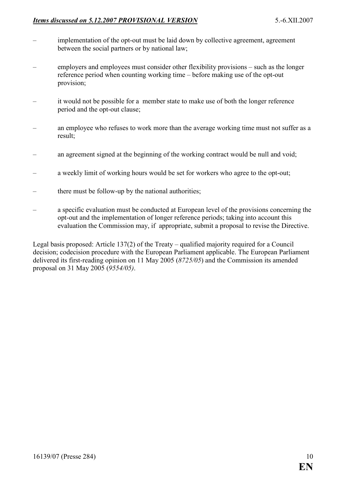# *Items discussed on 5.12.2007 PROVISIONAL VERSION* 5.-6.XII.2007

- implementation of the opt-out must be laid down by collective agreement, agreement between the social partners or by national law;
- employers and employees must consider other flexibility provisions such as the longer reference period when counting working time – before making use of the opt-out provision;
- it would not be possible for a member state to make use of both the longer reference period and the opt-out clause;
- an employee who refuses to work more than the average working time must not suffer as a result;
- an agreement signed at the beginning of the working contract would be null and void;
- a weekly limit of working hours would be set for workers who agree to the opt-out;
- there must be follow-up by the national authorities;
- a specific evaluation must be conducted at European level of the provisions concerning the opt-out and the implementation of longer reference periods; taking into account this evaluation the Commission may, if appropriate, submit a proposal to revise the Directive.

Legal basis proposed: Article 137(2) of the Treaty – qualified majority required for a Council decision; codecision procedure with the European Parliament applicable. The European Parliament delivered its first-reading opinion on 11 May 2005 (*8725/05*) and the Commission its amended proposal on 31 May 2005 (*9554/05)*.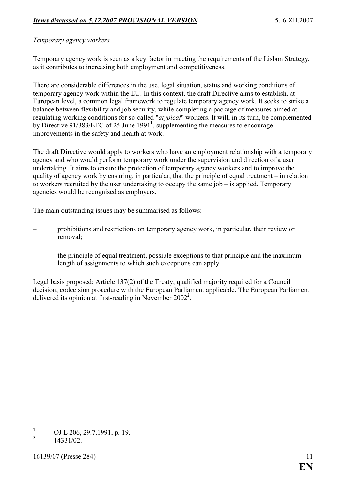# *Temporary agency workers*

Temporary agency work is seen as a key factor in meeting the requirements of the Lisbon Strategy, as it contributes to increasing both employment and competitiveness.

There are considerable differences in the use, legal situation, status and working conditions of temporary agency work within the EU. In this context, the draft Directive aims to establish, at European level, a common legal framework to regulate temporary agency work. It seeks to strike a balance between flexibility and job security, while completing a package of measures aimed at regulating working conditions for so-called "*atypical*" workers. It will, in its turn, be complemented by Directive 91/383/EEC of 25 June 1991**<sup>1</sup>** , supplementing the measures to encourage improvements in the safety and health at work.

The draft Directive would apply to workers who have an employment relationship with a temporary agency and who would perform temporary work under the supervision and direction of a user undertaking. It aims to ensure the protection of temporary agency workers and to improve the quality of agency work by ensuring, in particular, that the principle of equal treatment – in relation to workers recruited by the user undertaking to occupy the same job – is applied. Temporary agencies would be recognised as employers.

The main outstanding issues may be summarised as follows:

- prohibitions and restrictions on temporary agency work, in particular, their review or removal;
- the principle of equal treatment, possible exceptions to that principle and the maximum length of assignments to which such exceptions can apply.

Legal basis proposed: Article 137(2) of the Treaty; qualified majority required for a Council decision; codecision procedure with the European Parliament applicable. The European Parliament delivered its opinion at first-reading in November 2002**<sup>2</sup>** .

**<sup>1</sup>** OJ L 206, 29.7.1991, p. 19.

**<sup>2</sup>** 14331/02.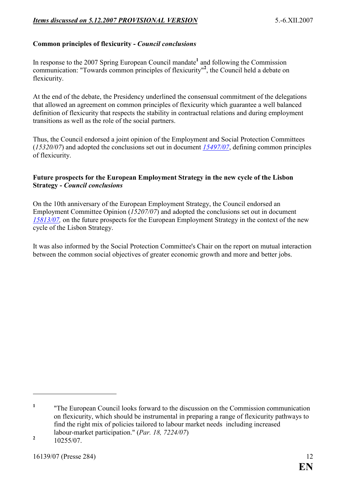# **Common principles of flexicurity -** *Council conclusions*

In response to the 2007 Spring European Council mandate<sup>1</sup> and following the Commission communication: "Towards common principles of flexicurity"**<sup>2</sup>** , the Council held a debate on flexicurity.

At the end of the debate, the Presidency underlined the consensual commitment of the delegations that allowed an agreement on common principles of flexicurity which guarantee a well balanced definition of flexicurity that respects the stability in contractual relations and during employment transitions as well as the role of the social partners.

Thus, the Council endorsed a joint opinion of the Employment and Social Protection Committees (*15320/07*) and adopted the conclusions set out in document *[15497/07](http://register.consilium.europa.eu/pdf/en/07/st15/st15497.en07.pdf)*, defining common principles of flexicurity.

#### **Future prospects for the European Employment Strategy in the new cycle of the Lisbon Strategy -** *Council conclusions*

On the 10th anniversary of the European Employment Strategy, the Council endorsed an Employment Committee Opinion (*15207/07*) and adopted the conclusions set out in document *[15813/07,](http://register.consilium.europa.eu/pdf/en/07/st15/st15813.en07.pdf)* on the future prospects for the European Employment Strategy in the context of the new cycle of the Lisbon Strategy.

It was also informed by the Social Protection Committee's Chair on the report on mutual interaction between the common social objectives of greater economic growth and more and better jobs.

**<sup>1</sup>** "The European Council looks forward to the discussion on the Commission communication on flexicurity, which should be instrumental in preparing a range of flexicurity pathways to find the right mix of policies tailored to labour market needs including increased labour-market participation." (*Par. 18, 7224/07*)

**<sup>2</sup>** 10255/07.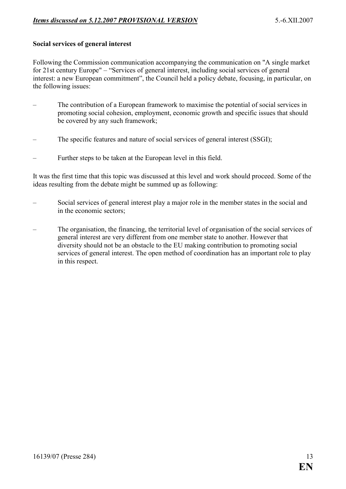#### **Social services of general interest**

Following the Commission communication accompanying the communication on "A single market for 21st century Europe" – "Services of general interest, including social services of general interest: a new European commitment", the Council held a policy debate, focusing, in particular, on the following issues:

- The contribution of a European framework to maximise the potential of social services in promoting social cohesion, employment, economic growth and specific issues that should be covered by any such framework;
- The specific features and nature of social services of general interest (SSGI);
- Further steps to be taken at the European level in this field.

It was the first time that this topic was discussed at this level and work should proceed. Some of the ideas resulting from the debate might be summed up as following:

- Social services of general interest play a major role in the member states in the social and in the economic sectors;
- The organisation, the financing, the territorial level of organisation of the social services of general interest are very different from one member state to another. However that diversity should not be an obstacle to the EU making contribution to promoting social services of general interest. The open method of coordination has an important role to play in this respect.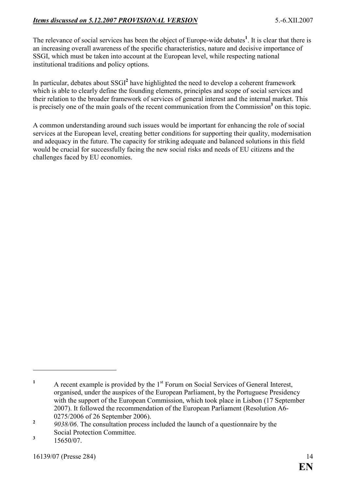The relevance of social services has been the object of Europe-wide debates**<sup>1</sup>** . It is clear that there is an increasing overall awareness of the specific characteristics, nature and decisive importance of SSGI, which must be taken into account at the European level, while respecting national institutional traditions and policy options.

In particular, debates about SSGI**<sup>2</sup>** have highlighted the need to develop a coherent framework which is able to clearly define the founding elements, principles and scope of social services and their relation to the broader framework of services of general interest and the internal market. This is precisely one of the main goals of the recent communication from the Commission<sup>3</sup> on this topic.

A common understanding around such issues would be important for enhancing the role of social services at the European level, creating better conditions for supporting their quality, modernisation and adequacy in the future. The capacity for striking adequate and balanced solutions in this field would be crucial for successfully facing the new social risks and needs of EU citizens and the challenges faced by EU economies.

**<sup>1</sup>** A recent example is provided by the 1<sup>st</sup> Forum on Social Services of General Interest, organised, under the auspices of the European Parliament, by the Portuguese Presidency with the support of the European Commission, which took place in Lisbon (17 September 2007). It followed the recommendation of the European Parliament (Resolution A6- 0275/2006 of 26 September 2006).

**<sup>2</sup>** *9038/06*. The consultation process included the launch of a questionnaire by the Social Protection Committee.

**<sup>3</sup>** 15650/07.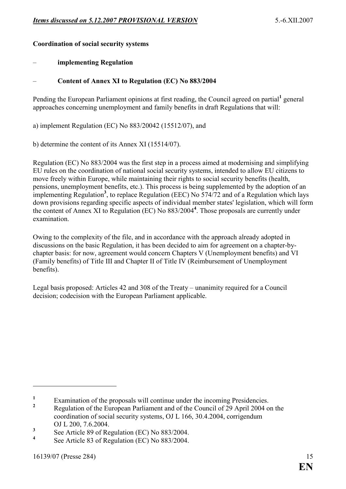## **Coordination of social security systems**

## – **implementing Regulation**

## Content of Annex XI to Regulation (EC) No 883/2004

Pending the European Parliament opinions at first reading, the Council agreed on partial<sup>1</sup> general approaches concerning unemployment and family benefits in draft Regulations that will:

a) implement Regulation (EC) No 883/20042 (15512/07), and

b) determine the content of its Annex XI (15514/07).

Regulation (EC) No 883/2004 was the first step in a process aimed at modernising and simplifying EU rules on the coordination of national social security systems, intended to allow EU citizens to move freely within Europe, while maintaining their rights to social security benefits (health, pensions, unemployment benefits, etc.). This process is being supplemented by the adoption of an implementing Regulation**<sup>3</sup>** , to replace Regulation (EEC) No 574/72 and of a Regulation which lays down provisions regarding specific aspects of individual member states' legislation, which will form the content of Annex XI to Regulation (EC) No 883/2004**<sup>4</sup>** . Those proposals are currently under examination.

Owing to the complexity of the file, and in accordance with the approach already adopted in discussions on the basic Regulation, it has been decided to aim for agreement on a chapter-bychapter basis: for now, agreement would concern Chapters V (Unemployment benefits) and VI (Family benefits) of Title III and Chapter II of Title IV (Reimbursement of Unemployment benefits).

Legal basis proposed: Articles 42 and 308 of the Treaty – unanimity required for a Council decision; codecision with the European Parliament applicable.

**<sup>1</sup>** Examination of the proposals will continue under the incoming Presidencies.

**<sup>2</sup>** Regulation of the European Parliament and of the Council of 29 April 2004 on the coordination of social security systems, OJ L 166, 30.4.2004, corrigendum OJ L 200, 7.6.2004.

**<sup>3</sup>** See Article 89 of Regulation (EC) No 883/2004.

**<sup>4</sup>** See Article 83 of Regulation (EC) No 883/2004.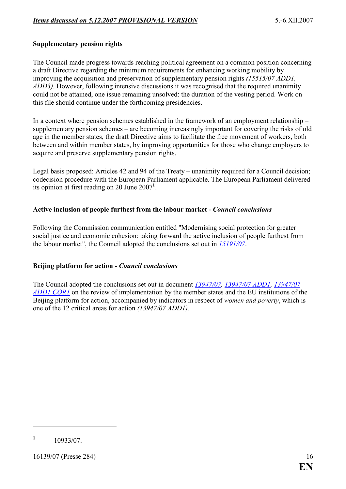## **Supplementary pension rights**

The Council made progress towards reaching political agreement on a common position concerning a draft Directive regarding the minimum requirements for enhancing working mobility by improving the acquisition and preservation of supplementary pension rights *(15515/07 ADD1, ADD3)*. However, following intensive discussions it was recognised that the required unanimity could not be attained, one issue remaining unsolved: the duration of the vesting period. Work on this file should continue under the forthcoming presidencies.

In a context where pension schemes established in the framework of an employment relationship – supplementary pension schemes – are becoming increasingly important for covering the risks of old age in the member states, the draft Directive aims to facilitate the free movement of workers, both between and within member states, by improving opportunities for those who change employers to acquire and preserve supplementary pension rights.

Legal basis proposed: Articles 42 and 94 of the Treaty – unanimity required for a Council decision; codecision procedure with the European Parliament applicable. The European Parliament delivered its opinion at first reading on 20 June 2007**<sup>1</sup>** .

#### **Active inclusion of people furthest from the labour market -** *Council conclusions*

Following the Commission communication entitled "Modernising social protection for greater social justice and economic cohesion: taking forward the active inclusion of people furthest from the labour market", the Council adopted the conclusions set out in *[15191/07](http://register.consilium.europa.eu/pdf/en/07/st15/st15191.en07.pdf)*.

#### **Beijing platform for action -** *Council conclusions*

The Council adopted the conclusions set out in document *[13947/07,](http://register.consilium.europa.eu/pdf/en/07/st13/st13947.en07.pdf) [13947/07 ADD1, 13947/07](http://register.consilium.europa.eu/pdf/en/07/st13/st13947-ad01.en07.pdf)  [ADD1 COR1](http://register.consilium.europa.eu/pdf/en/07/st13/st13947-ad01.en07.pdf)* on the review of implementation by the member states and the EU institutions of the Beijing platform for action, accompanied by indicators in respect of *women and poverty*, which is one of the 12 critical areas for action *(13947/07 ADD1).*

**<sup>1</sup>** 10933/07.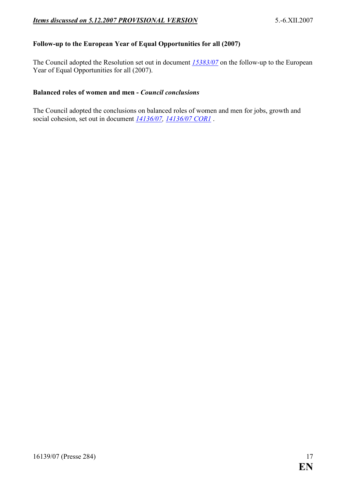# **Follow-up to the European Year of Equal Opportunities for all (2007)**

The Council adopted the Resolution set out in document *[15383/07](http://register.consilium.europa.eu/pdf/en/07/st15/st15383.en07.pdf)* on the follow-up to the European Year of Equal Opportunities for all (2007).

#### **Balanced roles of women and men -** *Council conclusions*

The Council adopted the conclusions on balanced roles of women and men for jobs, growth and social cohesion, set out in document  $14136/07$ ,  $14136/07$  COR1.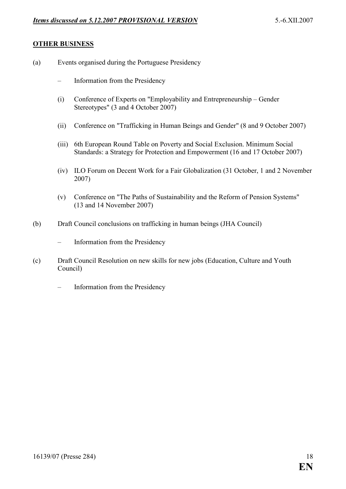### **OTHER BUSINESS**

- (a) Events organised during the Portuguese Presidency
	- Information from the Presidency
	- (i) Conference of Experts on "Employability and Entrepreneurship Gender Stereotypes" (3 and 4 October 2007)
	- (ii) Conference on "Trafficking in Human Beings and Gender" (8 and 9 October 2007)
	- (iii) 6th European Round Table on Poverty and Social Exclusion. Minimum Social Standards: a Strategy for Protection and Empowerment (16 and 17 October 2007)
	- (iv) ILO Forum on Decent Work for a Fair Globalization (31 October, 1 and 2 November 2007)
	- (v) Conference on "The Paths of Sustainability and the Reform of Pension Systems" (13 and 14 November 2007)
- (b) Draft Council conclusions on trafficking in human beings (JHA Council)
	- Information from the Presidency
- (c) Draft Council Resolution on new skills for new jobs (Education, Culture and Youth Council)
	- Information from the Presidency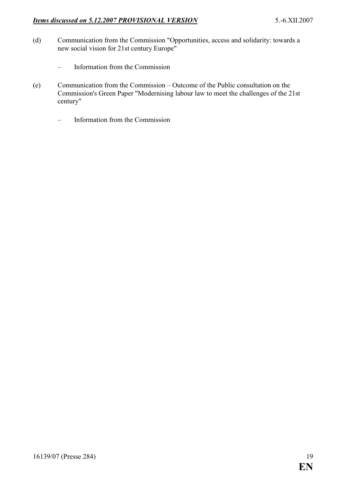- (d) Communication from the Commission "Opportunities, access and solidarity: towards a new social vision for 21st century Europe"
	- Information from the Commission
- (e) Communication from the Commission Outcome of the Public consultation on the Commission's Green Paper "Modernising labour law to meet the challenges of the 21st century"
	- Information from the Commission